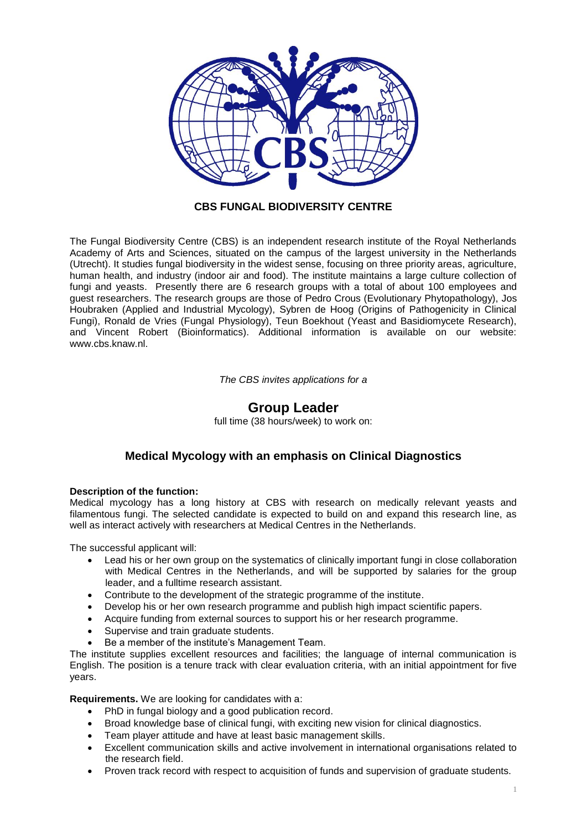

## **CBS FUNGAL BIODIVERSITY CENTRE**

The Fungal Biodiversity Centre (CBS) is an independent research institute of the Royal Netherlands Academy of Arts and Sciences, situated on the campus of the largest university in the Netherlands (Utrecht). It studies fungal biodiversity in the widest sense, focusing on three priority areas, agriculture, human health, and industry (indoor air and food). The institute maintains a large culture collection of fungi and yeasts. Presently there are 6 research groups with a total of about 100 employees and guest researchers. The research groups are those of Pedro Crous (Evolutionary Phytopathology), Jos Houbraken (Applied and Industrial Mycology), Sybren de Hoog (Origins of Pathogenicity in Clinical Fungi), Ronald de Vries (Fungal Physiology), Teun Boekhout (Yeast and Basidiomycete Research), and Vincent Robert (Bioinformatics). Additional information is available on our website: [www.cbs.knaw.nl.](http://www.cbs.knaw.nl/)

*The CBS invites applications for a*

## **Group Leader**

full time (38 hours/week) to work on:

## **Medical Mycology with an emphasis on Clinical Diagnostics**

## **Description of the function:**

Medical mycology has a long history at CBS with research on medically relevant yeasts and filamentous fungi. The selected candidate is expected to build on and expand this research line, as well as interact actively with researchers at Medical Centres in the Netherlands.

The successful applicant will:

- Lead his or her own group on the systematics of clinically important fungi in close collaboration with Medical Centres in the Netherlands, and will be supported by salaries for the group leader, and a fulltime research assistant.
- Contribute to the development of the strategic programme of the institute.
- Develop his or her own research programme and publish high impact scientific papers.
- Acquire funding from external sources to support his or her research programme.
- Supervise and train graduate students.
- Be a member of the institute's Management Team.

The institute supplies excellent resources and facilities; the language of internal communication is English. The position is a tenure track with clear evaluation criteria, with an initial appointment for five years.

**Requirements.** We are looking for candidates with a:

- PhD in fungal biology and a good publication record.
- Broad knowledge base of clinical fungi, with exciting new vision for clinical diagnostics.
- Team player attitude and have at least basic management skills.
- Excellent communication skills and active involvement in international organisations related to the research field.
- Proven track record with respect to acquisition of funds and supervision of graduate students.